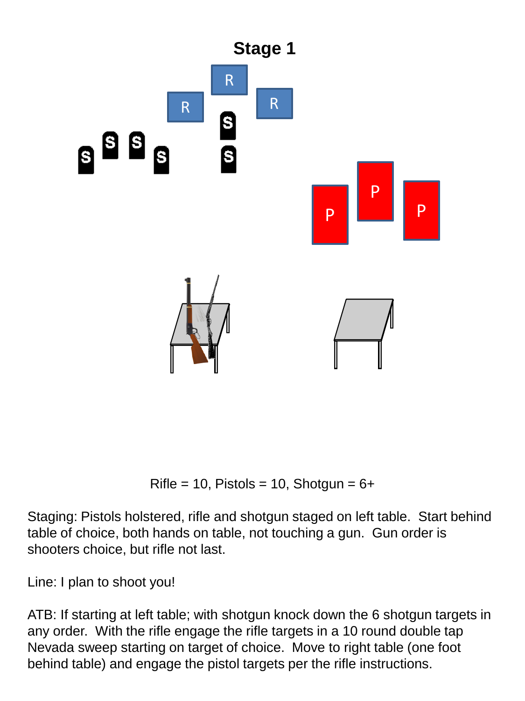

Rifle = 10, Pistols = 10, Shotgun =  $6+$ 

Staging: Pistols holstered, rifle and shotgun staged on left table. Start behind table of choice, both hands on table, not touching a gun. Gun order is shooters choice, but rifle not last.

Line: I plan to shoot you!

ATB: If starting at left table; with shotgun knock down the 6 shotgun targets in any order. With the rifle engage the rifle targets in a 10 round double tap Nevada sweep starting on target of choice. Move to right table (one foot behind table) and engage the pistol targets per the rifle instructions.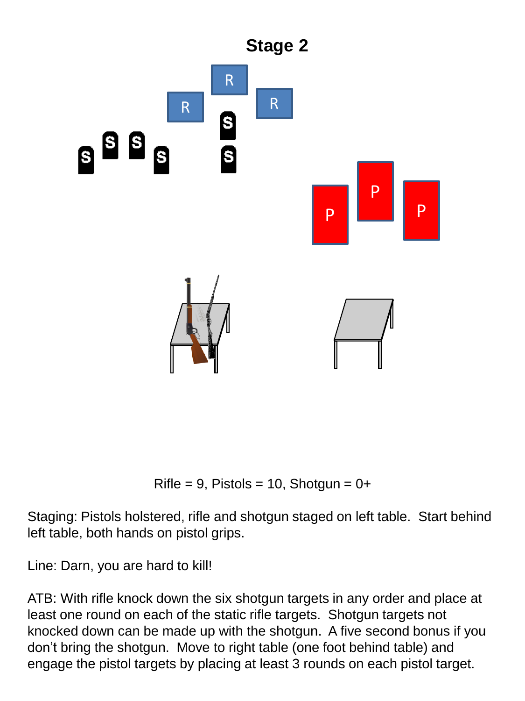

Rifle = 9, Pistols = 10, Shotgun =  $0+$ 

Staging: Pistols holstered, rifle and shotgun staged on left table. Start behind left table, both hands on pistol grips.

Line: Darn, you are hard to kill!

ATB: With rifle knock down the six shotgun targets in any order and place at least one round on each of the static rifle targets. Shotgun targets not knocked down can be made up with the shotgun. A five second bonus if you don't bring the shotgun. Move to right table (one foot behind table) and engage the pistol targets by placing at least 3 rounds on each pistol target.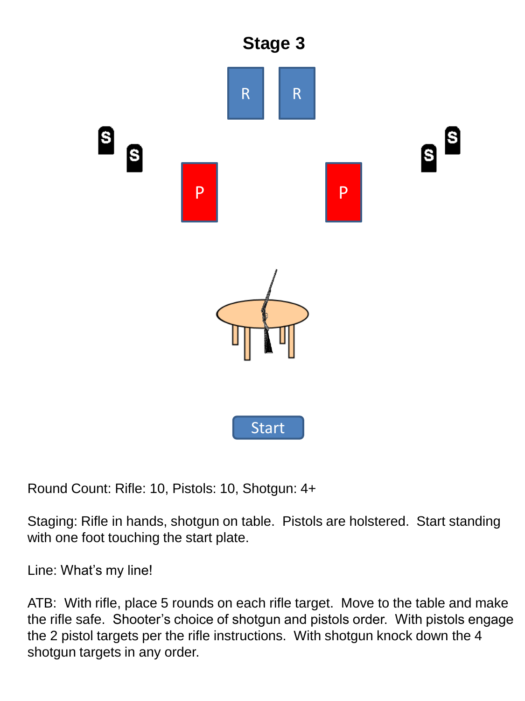

Round Count: Rifle: 10, Pistols: 10, Shotgun: 4+

Staging: Rifle in hands, shotgun on table. Pistols are holstered. Start standing with one foot touching the start plate.

Line: What's my line!

ATB: With rifle, place 5 rounds on each rifle target. Move to the table and make the rifle safe. Shooter's choice of shotgun and pistols order. With pistols engage the 2 pistol targets per the rifle instructions. With shotgun knock down the 4 shotgun targets in any order.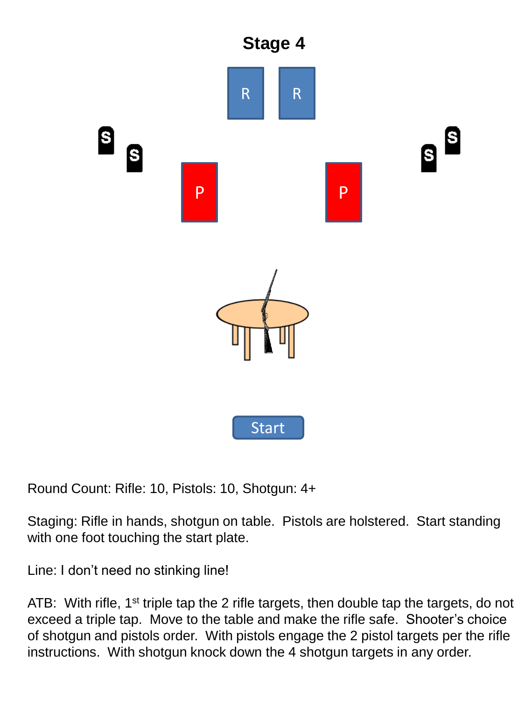

Round Count: Rifle: 10, Pistols: 10, Shotgun: 4+

Staging: Rifle in hands, shotgun on table. Pistols are holstered. Start standing with one foot touching the start plate.

Line: I don't need no stinking line!

ATB: With rifle, 1<sup>st</sup> triple tap the 2 rifle targets, then double tap the targets, do not exceed a triple tap. Move to the table and make the rifle safe. Shooter's choice of shotgun and pistols order. With pistols engage the 2 pistol targets per the rifle instructions. With shotgun knock down the 4 shotgun targets in any order.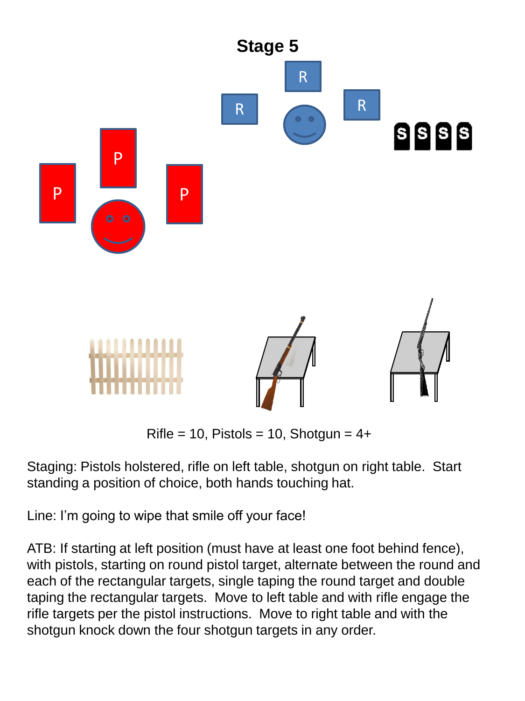

Rifle = 10, Pistols = 10, Shotgun =  $4+$ 

Staging: Pistols holstered, rifle on left table, shotgun on right table. Start standing a position of choice, both hands touching hat.

Line: I'm going to wipe that smile off your face!

ATB: If starting at left position (must have at least one foot behind fence), with pistols, starting on round pistol target, alternate between the round and each of the rectangular targets, single taping the round target and double taping the rectangular targets. Move to left table and with rifle engage the rifle targets per the pistol instructions. Move to right table and with the shotgun knock down the four shotgun targets in any order.